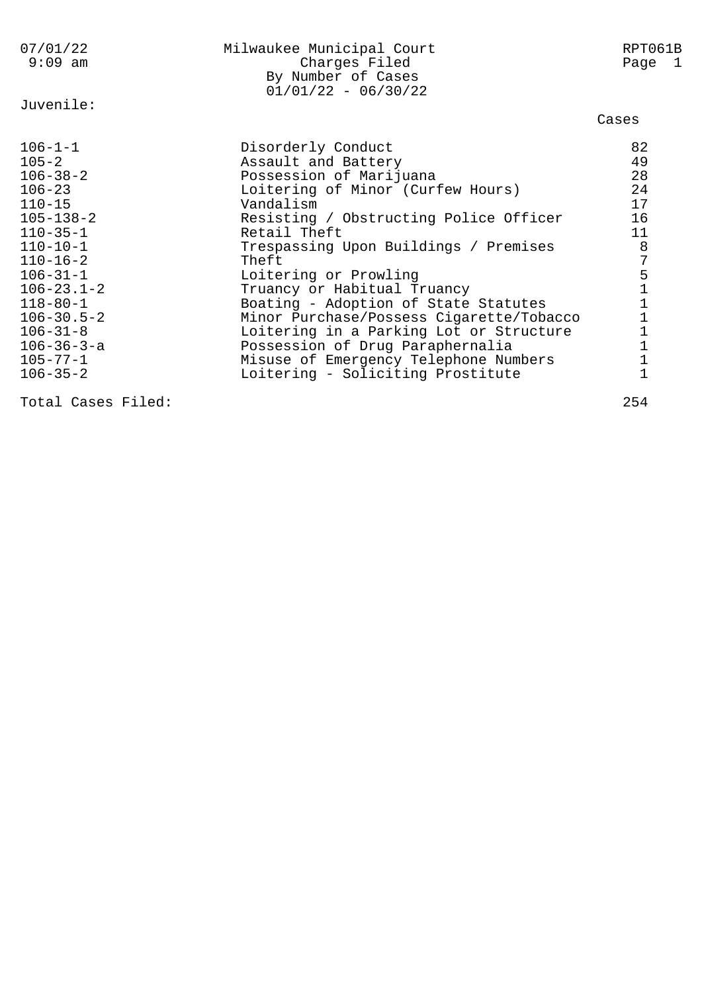| 07/01/22<br>$9:09$ am | Milwaukee Municipal Court<br>Charges Filed<br>By Number of Cases<br>$01/01/22 - 06/30/22$ | RPT061B<br>Page 1 |
|-----------------------|-------------------------------------------------------------------------------------------|-------------------|
| Juvenile:             |                                                                                           | Cases             |
|                       |                                                                                           |                   |
| $106 - 1 - 1$         | Disorderly Conduct                                                                        | 82                |
| $105 - 2$             | Assault and Battery                                                                       | 49                |
| $106 - 38 - 2$        | Possession of Marijuana                                                                   | 28                |
| $106 - 23$            | Loitering of Minor (Curfew Hours)                                                         | 24                |
| $110 - 15$            | Vandalism                                                                                 | 17                |
| $105 - 138 - 2$       | Resisting / Obstructing Police Officer                                                    | 16                |
| $110 - 35 - 1$        | Retail Theft                                                                              | 11                |
| $110 - 10 - 1$        | Trespassing Upon Buildings / Premises                                                     | 8                 |
| $110 - 16 - 2$        | Theft                                                                                     | 7                 |
| $106 - 31 - 1$        | Loitering or Prowling                                                                     |                   |
| $106 - 23.1 - 2$      | Truancy or Habitual Truancy                                                               |                   |
| $118 - 80 - 1$        | Boating - Adoption of State Statutes                                                      |                   |
| $106 - 30.5 - 2$      | Minor Purchase/Possess Cigarette/Tobacco                                                  |                   |
| $106 - 31 - 8$        | Loitering in a Parking Lot or Structure                                                   | 51111111          |
| $106 - 36 - 3 - a$    | Possession of Drug Paraphernalia                                                          |                   |
| $105 - 77 - 1$        | Misuse of Emergency Telephone Numbers                                                     |                   |
| $106 - 35 - 2$        | Loitering - Soliciting Prostitute                                                         |                   |

Total Cases Filed: 254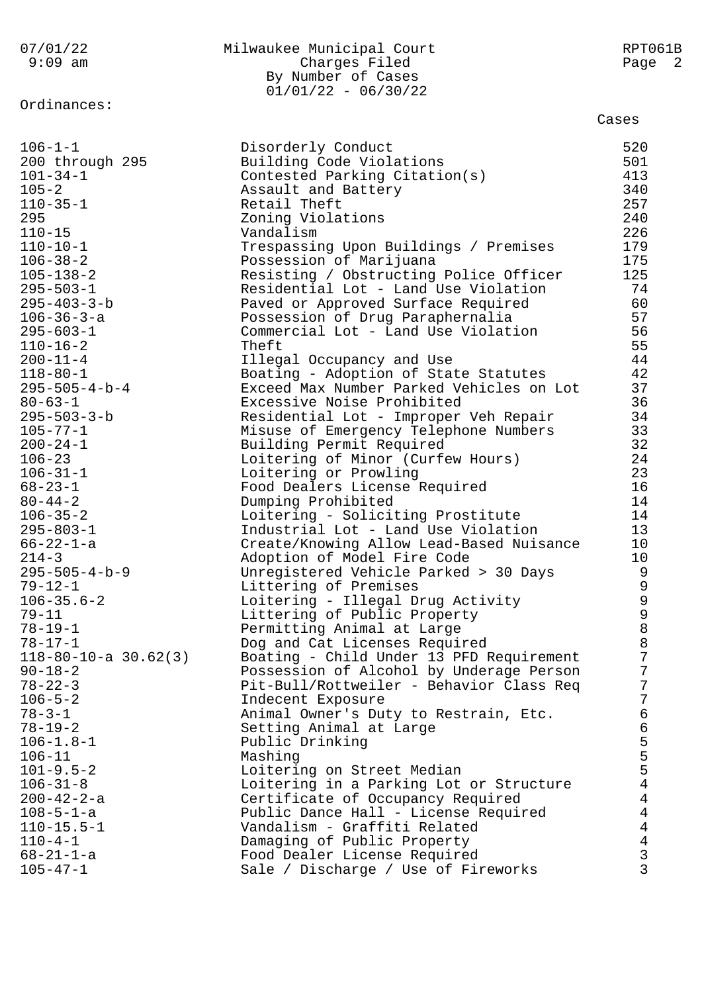07/01/22 Milwaukee Municipal Court RPT061B 9:09 am Charges Filed Page 2 By Number of Cases  $01/01/22 - 06/30/22$ Ordinances: Cases 106-1-1 Disorderly Conduct 520 200 through 295 Building Code Violations 501 101-34-1 Contested Parking Citation(s) 413 105-2 Assault and Battery 340 110-35-1 Retail Theft 257 295 Zoning Violations 240 110-15 Vandalism 226 110-10-1 Trespassing Upon Buildings / Premises 179 106-38-2 Possession of Marijuana 175 105-138-2 Resisting / Obstructing Police Officer 125 295-503-1 Residential Lot - Land Use Violation 74 295-403-3-b Paved or Approved Surface Required 60 106-36-3-a Possession of Drug Paraphernalia 57 295-603-1 Commercial Lot - Land Use Violation 56  $110-16-2$  55 200-11-4 Illegal Occupancy and Use 44 118-80-1 Boating - Adoption of State Statutes 42 295-505-4-b-4 Exceed Max Number Parked Vehicles on Lot 37 80-63-1 Excessive Noise Prohibited 36 295-503-3-b Residential Lot - Improper Veh Repair 34 105-77-1 Misuse of Emergency Telephone Numbers 33 200-24-1 Building Permit Required 32 106-23 Loitering of Minor (Curfew Hours) 24 106-31-1 Loitering or Prowling 23 68-23-1 Food Dealers License Required 16 80-44-2 Dumping Prohibited 14 106-35-2 Loitering - Soliciting Prostitute 14 295-803-1 Industrial Lot - Land Use Violation 13 66-22-1-a Create/Knowing Allow Lead-Based Nuisance 10 214-3 Adoption of Model Fire Code 10 295-505-4-b-9 Unregistered Vehicle Parked > 30 Days 9 79-12-1 Littering of Premises 9 106-35.6-2 Loitering - Illegal Drug Activity 9 79-11 **Littering of Public Property** 9 78-19-1 **Permitting Animal at Large** 8 78-17-1 Dog and Cat Licenses Required 8 118-80-10-a 30.62(3) Boating - Child Under 13 PFD Requirement 7 90-18-2 Possession of Alcohol by Underage Person 7 78-22-3 Pit-Bull/Rottweiler - Behavior Class Req 7 106-5-2 Indecent Exposure 7 78-3-1 Animal Owner's Duty to Restrain, Etc. 6 78-19-2 Setting Animal at Large 6 106-1.8-1 Public Drinking Summary 5 106-11 Mashing 5 101-9.5-2 Loitering on Street Median 5 106-31-8 Loitering in a Parking Lot or Structure 4 200-42-2-a Certificate of Occupancy Required 4 108-5-1-a Public Dance Hall - License Required 4 110-15.5-1 Vandalism - Graffiti Related 4 110-4-1 Damaging of Public Property 4 68-21-1-a Food Dealer License Required 3 105-47-1 Sale / Discharge / Use of Fireworks 3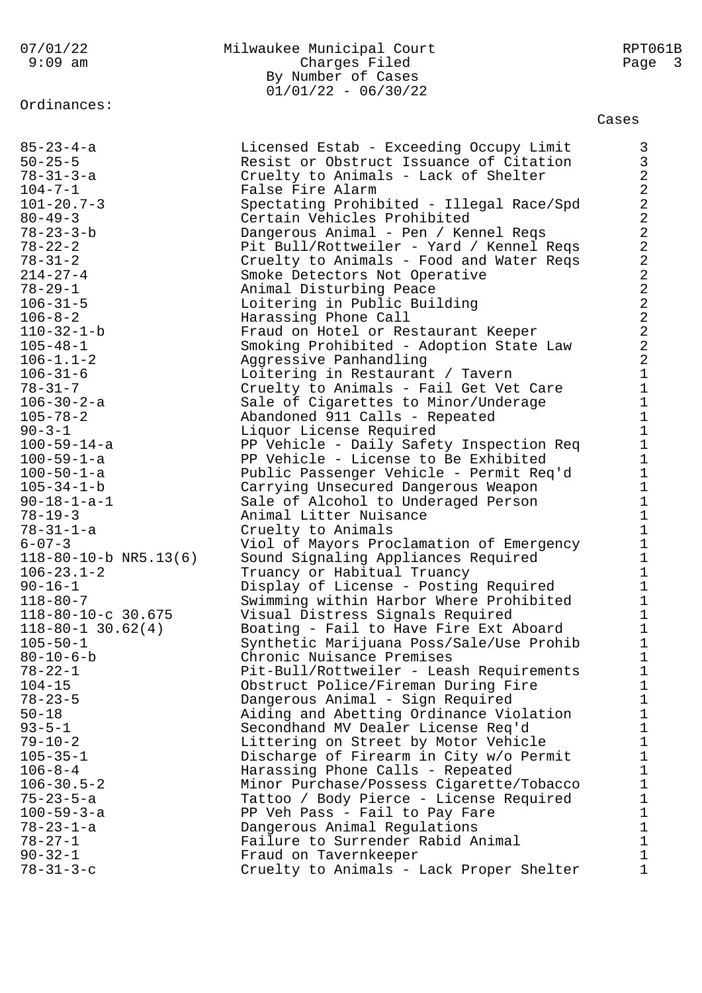Ordinances:

## 07/01/22 Milwaukee Municipal Court RPT061B Charges Filed Page 3 By Number of Cases  $01/01/22 - 06/30/22$

Cases

| $85 - 23 - 4 - a$             | Licensed Estab - Exceeding Occupy Limit  | 3                                            |
|-------------------------------|------------------------------------------|----------------------------------------------|
| $50 - 25 - 5$                 | Resist or Obstruct Issuance of Citation  | 3                                            |
| $78 - 31 - 3 - a$             | Cruelty to Animals - Lack of Shelter     | $\overline{a}$                               |
| $104 - 7 - 1$                 | False Fire Alarm                         | $\overline{c}$                               |
| $101 - 20.7 - 3$              | Spectating Prohibited - Illegal Race/Spd | $\overline{a}$                               |
| $80 - 49 - 3$                 | Certain Vehicles Prohibited              | $\overline{a}$                               |
| $78 - 23 - 3 - b$             | Dangerous Animal - Pen / Kennel Reqs     | $\overline{a}$                               |
| $78 - 22 - 2$                 | Pit Bull/Rottweiler - Yard / Kennel Reqs | $\overline{a}$                               |
| $78 - 31 - 2$                 | Cruelty to Animals - Food and Water Reqs | $\overline{a}$                               |
| $214 - 27 - 4$                | Smoke Detectors Not Operative            | $\overline{a}$                               |
| $78 - 29 - 1$                 | Animal Disturbing Peace                  |                                              |
| $106 - 31 - 5$                | Loitering in Public Building             | $\begin{array}{c}\n2 \\ 2 \\ 2\n\end{array}$ |
| $106 - 8 - 2$                 | Harassing Phone Call                     |                                              |
| 110-32-1-b                    | Fraud on Hotel or Restaurant Keeper      |                                              |
| $105 - 48 - 1$                | Smoking Prohibited - Adoption State Law  | $\overline{\mathbf{c}}$                      |
| $106 - 1.1 - 2$               | Aggressive Panhandling                   | $\overline{a}$                               |
| $106 - 31 - 6$                | Loitering in Restaurant / Tavern         | $\mathbf{1}$                                 |
| $78 - 31 - 7$                 | Cruelty to Animals - Fail Get Vet Care   | $\mathbf{1}$                                 |
| 106-30-2-a                    | Sale of Cigarettes to Minor/Underage     | $\mathbf{1}$                                 |
| $105 - 78 - 2$                | Abandoned 911 Calls - Repeated           | $\mathbf{1}$                                 |
| $90 - 3 - 1$                  | Liquor License Required                  | $\mathbf{1}$                                 |
| $100 - 59 - 14 - a$           | PP Vehicle - Daily Safety Inspection Req | $\mathbf{1}$                                 |
| $100 - 59 - 1 - a$            | PP Vehicle - License to Be Exhibited     | $\mathbf{1}$                                 |
| $100 - 50 - 1 - a$            | Public Passenger Vehicle - Permit Req'd  | $\mathbf{1}$                                 |
| $105 - 34 - 1 - b$            | Carrying Unsecured Dangerous Weapon      | $\mathbf{1}$                                 |
| $90 - 18 - 1 - a - 1$         | Sale of Alcohol to Underaged Person      | $\mathbf{1}$                                 |
| $78 - 19 - 3$                 | Animal Litter Nuisance                   | $\mathbf{1}$                                 |
| $78 - 31 - 1 - a$             | Cruelty to Animals                       | $\mathbf{1}$                                 |
| $6 - 07 - 3$                  | Viol of Mayors Proclamation of Emergency | $\mathbf{1}$                                 |
| $118 - 80 - 10 - b$ NR5.13(6) | Sound Signaling Appliances Required      | $\mathbf{1}$                                 |
| $106 - 23.1 - 2$              | Truancy or Habitual Truancy              | $\mathbf{1}$                                 |
| $90 - 16 - 1$                 | Display of License - Posting Required    | $\mathbf{1}$                                 |
| $118 - 80 - 7$                | Swimming within Harbor Where Prohibited  | $\mathbf{1}$                                 |
| 118-80-10-c 30.675            | Visual Distress Signals Required         | $\mathbf{1}$                                 |
| $118 - 80 - 1$ 30.62(4)       | Boating - Fail to Have Fire Ext Aboard   | $\mathbf{1}$                                 |
| $105 - 50 - 1$                | Synthetic Marijuana Poss/Sale/Use Prohib | $\mathbf 1$                                  |
| $80 - 10 - 6 - b$             | Chronic Nuisance Premises                | $\mathbf 1$                                  |
| $78 - 22 - 1$                 | Pit-Bull/Rottweiler - Leash Requirements | 1                                            |
| $104 - 15$                    | Obstruct Police/Fireman During Fire      | 1                                            |
| $78 - 23 - 5$                 | Dangerous Animal - Sign Required         | 1                                            |
| $50 - 18$                     | Aiding and Abetting Ordinance Violation  | 1                                            |
| $93 - 5 - 1$                  | Secondhand MV Dealer License Req'd       | $\mathbf{1}$                                 |
| $79 - 10 - 2$                 | Littering on Street by Motor Vehicle     | $\mathbf{1}$                                 |
| $105 - 35 - 1$                | Discharge of Firearm in City w/o Permit  | 1                                            |
| $106 - 8 - 4$                 | Harassing Phone Calls - Repeated         | $\mathbf{1}$                                 |
| $106 - 30.5 - 2$              | Minor Purchase/Possess Cigarette/Tobacco | $\mathbf{1}$                                 |
| $75 - 23 - 5 - a$             | Tattoo / Body Pierce - License Required  | 1                                            |
| $100 - 59 - 3 - a$            | PP Veh Pass - Fail to Pay Fare           | 1                                            |
| $78 - 23 - 1 - a$             | Dangerous Animal Regulations             | $\mathbf{1}$                                 |
| $78 - 27 - 1$                 | Failure to Surrender Rabid Animal        | $\mathbf{1}$                                 |
| $90 - 32 - 1$                 | Fraud on Tavernkeeper                    | 1                                            |
| $78 - 31 - 3 - c$             | Cruelty to Animals - Lack Proper Shelter | 1                                            |
|                               |                                          |                                              |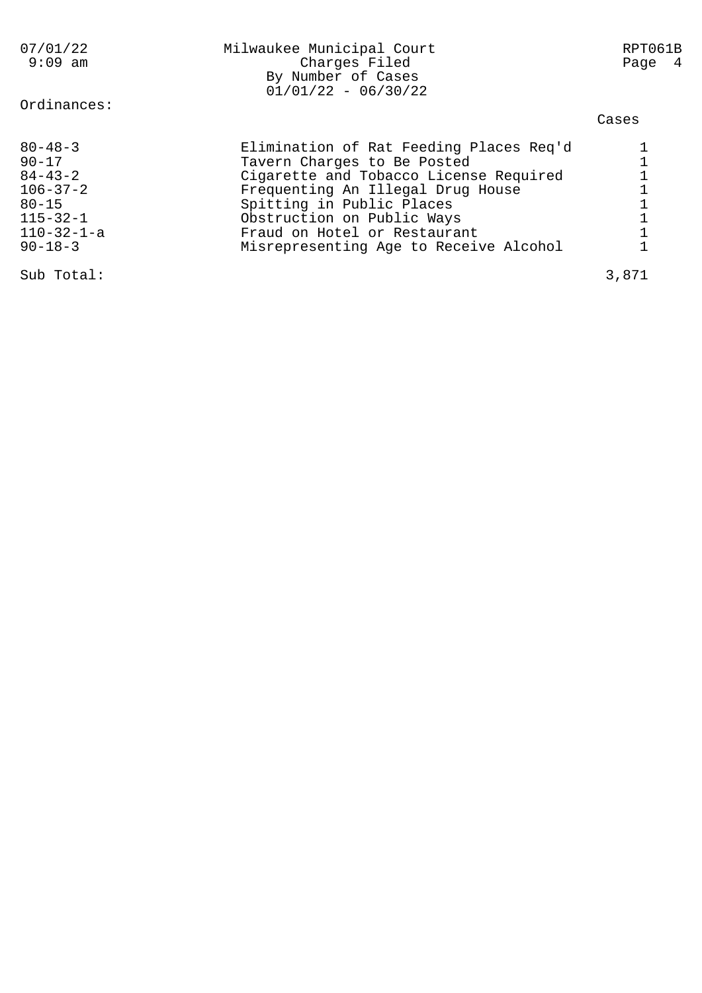| 07/01/22<br>$9:09$ am                                                                                                               | Milwaukee Municipal Court<br>Charges Filed<br>By Number of Cases<br>$01/01/22 - 06/30/22$                                                                                                                                                                                                  | RPT061B<br>Page 4 |
|-------------------------------------------------------------------------------------------------------------------------------------|--------------------------------------------------------------------------------------------------------------------------------------------------------------------------------------------------------------------------------------------------------------------------------------------|-------------------|
| Ordinances:                                                                                                                         |                                                                                                                                                                                                                                                                                            | Cases             |
| $80 - 48 - 3$<br>$90 - 17$<br>$84 - 43 - 2$<br>$106 - 37 - 2$<br>$80 - 15$<br>$115 - 32 - 1$<br>$110 - 32 - 1 - a$<br>$90 - 18 - 3$ | Elimination of Rat Feeding Places Req'd<br>Tavern Charges to Be Posted<br>Cigarette and Tobacco License Required<br>Frequenting An Illegal Drug House<br>Spitting in Public Places<br>Obstruction on Public Ways<br>Fraud on Hotel or Restaurant<br>Misrepresenting Age to Receive Alcohol |                   |
| Sub Total:                                                                                                                          |                                                                                                                                                                                                                                                                                            | 3,871             |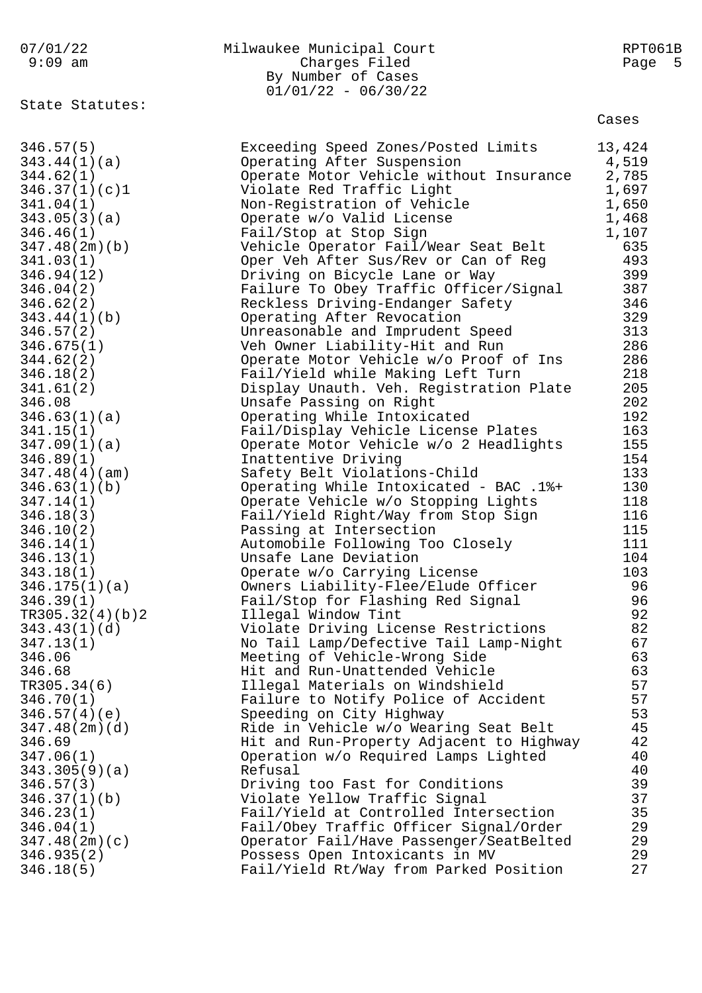| 07/01/22<br>$9:09$ am                                                                                                                                                                                                                                                                                                                                                                                                                                                                                                                                                                                                                    | Milwaukee Municipal Court<br>Charges Filed<br>By Number of Cases<br>$01/01/22 - 06/30/22$                                                                                                                                                                                                                                                                                                                                                                                                                                                                                                                                                                                                                                                                                                                                                                                                                                                                                                                                                                                                                                                                                                                                                                                                                                                                                                                                                                                                                                                                            | RPT061B<br>Page<br>- 5                                                                                                                                                                                                                                                                                       |
|------------------------------------------------------------------------------------------------------------------------------------------------------------------------------------------------------------------------------------------------------------------------------------------------------------------------------------------------------------------------------------------------------------------------------------------------------------------------------------------------------------------------------------------------------------------------------------------------------------------------------------------|----------------------------------------------------------------------------------------------------------------------------------------------------------------------------------------------------------------------------------------------------------------------------------------------------------------------------------------------------------------------------------------------------------------------------------------------------------------------------------------------------------------------------------------------------------------------------------------------------------------------------------------------------------------------------------------------------------------------------------------------------------------------------------------------------------------------------------------------------------------------------------------------------------------------------------------------------------------------------------------------------------------------------------------------------------------------------------------------------------------------------------------------------------------------------------------------------------------------------------------------------------------------------------------------------------------------------------------------------------------------------------------------------------------------------------------------------------------------------------------------------------------------------------------------------------------------|--------------------------------------------------------------------------------------------------------------------------------------------------------------------------------------------------------------------------------------------------------------------------------------------------------------|
|                                                                                                                                                                                                                                                                                                                                                                                                                                                                                                                                                                                                                                          |                                                                                                                                                                                                                                                                                                                                                                                                                                                                                                                                                                                                                                                                                                                                                                                                                                                                                                                                                                                                                                                                                                                                                                                                                                                                                                                                                                                                                                                                                                                                                                      | Cases                                                                                                                                                                                                                                                                                                        |
| State Statutes:<br>346.57(5)<br>343.44(1)(a)<br>344.62(1)<br>346.37(1)(c)1<br>341.04(1)<br>343.05(3)(a)<br>346.46(1)<br>347.48(2m)(b)<br>341.03(1)<br>346.94(12)<br>346.04(2)<br>346.62(2)<br>343.44(1)(b)<br>346.57(2)<br>346.675(1)<br>344.62(2)<br>346.18(2)<br>341.61(2)<br>346.08<br>346.63(1)(a)<br>341.15(1)<br>347.09(1)(a)<br>346.89(1)<br>347.48(4)(am)<br>346.63(1)(b)<br>347.14(1)<br>346.18(3)<br>346.10(2)<br>346.14(1)<br>346.13(1)<br>343.18(1)<br>346.175(1)(a)<br>346.39(1)<br>TR305.32(4)(b)2<br>343.43(1)(d)<br>347.13(1)<br>346.06<br>346.68<br>TR305.34(6)<br>346.70(1)<br>346.57(4)(e)<br>347.48(2m)(d)<br>346.69 | Exceeding Speed Zones/Posted Limits<br>Operating After Suspension<br>Operate Motor Vehicle without Insurance<br>Violate Red Traffic Light<br>Non-Registration of Vehicle<br>Operate w/o Valid License<br>Fail/Stop at Stop Sign<br>Vehicle Operator Fail/Wear Seat Belt<br>Oper Veh After Sus/Rev or Can of Reg<br>Driving on Bicycle Lane or Way<br>Failure To Obey Traffic Officer/Signal<br>Reckless Driving-Endanger Safety<br>Operating After Revocation<br>Unreasonable and Imprudent Speed<br>Veh Owner Liability-Hit and Run<br>Operate Motor Vehicle w/o Proof of Ins<br>Fail/Yield while Making Left Turn<br>Display Unauth. Veh. Registration Plate<br>Unsafe Passing on Right<br>Operating While Intoxicated<br>Fail/Display Vehicle License Plates<br>Operate Motor Vehicle w/o 2 Headlights<br>Inattentive Driving<br>Safety Belt Violations-Child<br>Operating While Intoxicated - BAC .1%+<br>Operate Vehicle w/o Stopping Lights<br>Fail/Yield Right/Way from Stop Sign<br>Passing at Intersection<br>Automobile Following Too Closely<br>Unsafe Lane Deviation<br>Operate w/o Carrying License<br>Owners Liability-Flee/Elude Officer<br>Fail/Stop for Flashing Red Signal<br>Illegal Window Tint<br>Violate Driving License Restrictions<br>No Tail Lamp/Defective Tail Lamp-Night<br>Meeting of Vehicle-Wrong Side<br>Hit and Run-Unattended Vehicle<br>Illegal Materials on Windshield<br>Failure to Notify Police of Accident<br>Speeding on City Highway<br>Ride in Vehicle w/o Wearing Seat Belt<br>Hit and Run-Property Adjacent to Highway | 13,424<br>4,519<br>2,785<br>1,697<br>1,650<br>1,468<br>1,107<br>635<br>493<br>399<br>387<br>346<br>329<br>313<br>286<br>286<br>218<br>205<br>202<br>192<br>163<br>155<br>154<br>133<br>130<br>118<br>116<br>115<br>111<br>104<br>103<br>96<br>96<br>92<br>82<br>67<br>63<br>63<br>57<br>57<br>53<br>45<br>42 |
| 347.06(1)<br>343.305(9)(a)                                                                                                                                                                                                                                                                                                                                                                                                                                                                                                                                                                                                               | Operation w/o Required Lamps Lighted<br>Refusal                                                                                                                                                                                                                                                                                                                                                                                                                                                                                                                                                                                                                                                                                                                                                                                                                                                                                                                                                                                                                                                                                                                                                                                                                                                                                                                                                                                                                                                                                                                      | 40<br>40                                                                                                                                                                                                                                                                                                     |
| 346.57(3)<br>346.37(1)(b)                                                                                                                                                                                                                                                                                                                                                                                                                                                                                                                                                                                                                | Driving too Fast for Conditions<br>Violate Yellow Traffic Signal                                                                                                                                                                                                                                                                                                                                                                                                                                                                                                                                                                                                                                                                                                                                                                                                                                                                                                                                                                                                                                                                                                                                                                                                                                                                                                                                                                                                                                                                                                     | 39<br>37                                                                                                                                                                                                                                                                                                     |
| 346.23(1)                                                                                                                                                                                                                                                                                                                                                                                                                                                                                                                                                                                                                                | Fail/Yield at Controlled Intersection                                                                                                                                                                                                                                                                                                                                                                                                                                                                                                                                                                                                                                                                                                                                                                                                                                                                                                                                                                                                                                                                                                                                                                                                                                                                                                                                                                                                                                                                                                                                | 35                                                                                                                                                                                                                                                                                                           |
| 346.04(1)                                                                                                                                                                                                                                                                                                                                                                                                                                                                                                                                                                                                                                | Fail/Obey Traffic Officer Signal/Order                                                                                                                                                                                                                                                                                                                                                                                                                                                                                                                                                                                                                                                                                                                                                                                                                                                                                                                                                                                                                                                                                                                                                                                                                                                                                                                                                                                                                                                                                                                               | 29                                                                                                                                                                                                                                                                                                           |
| 347.48(2m)(c)                                                                                                                                                                                                                                                                                                                                                                                                                                                                                                                                                                                                                            | Operator Fail/Have Passenger/SeatBelted                                                                                                                                                                                                                                                                                                                                                                                                                                                                                                                                                                                                                                                                                                                                                                                                                                                                                                                                                                                                                                                                                                                                                                                                                                                                                                                                                                                                                                                                                                                              | 29                                                                                                                                                                                                                                                                                                           |
| 346.935(2)                                                                                                                                                                                                                                                                                                                                                                                                                                                                                                                                                                                                                               | Possess Open Intoxicants in MV                                                                                                                                                                                                                                                                                                                                                                                                                                                                                                                                                                                                                                                                                                                                                                                                                                                                                                                                                                                                                                                                                                                                                                                                                                                                                                                                                                                                                                                                                                                                       | 29                                                                                                                                                                                                                                                                                                           |
| 346.18(5)                                                                                                                                                                                                                                                                                                                                                                                                                                                                                                                                                                                                                                | Fail/Yield Rt/Way from Parked Position                                                                                                                                                                                                                                                                                                                                                                                                                                                                                                                                                                                                                                                                                                                                                                                                                                                                                                                                                                                                                                                                                                                                                                                                                                                                                                                                                                                                                                                                                                                               | 27                                                                                                                                                                                                                                                                                                           |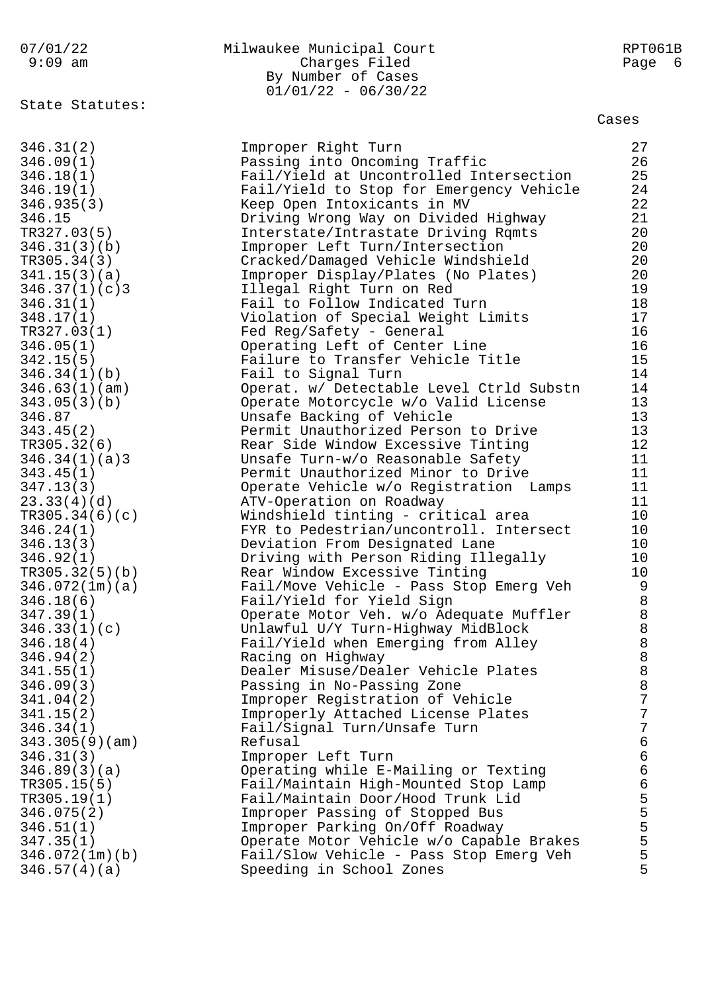## 07/01/22 Milwaukee Municipal Court RPT061B 9:09 am Charges Filed Page 6 By Number of Cases

State Statutes:

 $01/01/22 - 06/30/22$ 

Cases

| 346.31(2)      | Improper Right Turn                                                                 | 27                                    |
|----------------|-------------------------------------------------------------------------------------|---------------------------------------|
| 346.09(1)      | Passing into Oncoming Traffic                                                       | 26                                    |
| 346.18(1)      | Fail/Yield at Uncontrolled Intersection                                             | 25                                    |
| 346.19(1)      | Fail/Yield to Stop for Emergency Vehicle                                            | 24                                    |
| 346.935(3)     | Keep Open Intoxicants in MV                                                         | 22                                    |
| 346.15         | Driving Wrong Way on Divided Highway                                                | 21                                    |
| TR327.03(5)    | Interstate/Intrastate Driving Rqmts                                                 | 20                                    |
| 346.31(3)(b)   | Improper Left Turn/Intersection                                                     | 20                                    |
| TR305.34(3)    | Cracked/Damaged Vehicle Windshield                                                  | 20                                    |
| 341.15(3)(a)   | Improper Display/Plates (No Plates)                                                 | 20                                    |
| 346.37(1)(c)3  | Illegal Right Turn on Red                                                           | 19                                    |
| 346.31(1)      | Fail to Follow Indicated Turn                                                       | $18$                                  |
| 348.17(1)      | Violation of Special Weight Limits                                                  | 17                                    |
| TR327.03(1)    | Fed Reg/Safety - General                                                            | 16                                    |
| 346.05(1)      | Operating Left of Center Line                                                       | 16                                    |
| 342.15(5)      | Failure to Transfer Vehicle Title                                                   | 15                                    |
| 346.34(1)(b)   | Fail to Signal Turn                                                                 | 14                                    |
| 346.63(1)(am)  | Operat. w/ Detectable Level Ctrld Substn                                            | 14                                    |
| 343.05(3)(b)   | Operate Motorcycle w/o Valid License                                                | 13                                    |
| 346.87         | Unsafe Backing of Vehicle                                                           | 13                                    |
| 343.45(2)      | Permit Unauthorized Person to Drive                                                 | 13                                    |
| TR305.32(6)    | Rear Side Window Excessive Tinting                                                  | 12                                    |
| 346.34(1)(a)3  | Unsafe Turn-w/o Reasonable Safety                                                   | 11                                    |
| 343.45(1)      | Permit Unauthorized Minor to Drive                                                  | 11                                    |
| 347.13(3)      | Operate Vehicle w/o Registration Lamps                                              | 11                                    |
| 23.33(4)(d)    | ATV-Operation on Roadway                                                            | 11                                    |
| TR305.34(6)(c) | Windshield tinting - critical area                                                  | 10                                    |
| 346.24(1)      | FYR to Pedestrian/uncontroll. Intersect                                             | 10                                    |
| 346.13(3)      | Deviation From Designated Lane                                                      | 10                                    |
| 346.92(1)      | Driving with Person Riding Illegally                                                | 10                                    |
| TR305.32(5)(b) | Rear Window Excessive Tinting                                                       | 10                                    |
| 346.072(1m)(a) | Fail/Move Vehicle - Pass Stop Emerg Veh                                             | $\overline{9}$                        |
| 346.18(6)      | Fail/Yield for Yield Sign                                                           | $\,8\,$                               |
| 347.39(1)      | Operate Motor Veh. w/o Adequate Muffler                                             |                                       |
| 346.33(1)(c)   | Unlawful U/Y Turn-Highway MidBlock                                                  | $\begin{array}{c} 8 \\ 8 \end{array}$ |
| 346.18(4)      | Fail/Yield when Emerging from Alley                                                 | $\,8\,$                               |
| 346.94(2)      | Racing on Highway                                                                   | 8                                     |
| 341.55(1)      | Dealer Misuse/Dealer Vehicle Plates                                                 | $\,8\,$                               |
| 346.09(3)      | Passing in No-Passing Zone                                                          | 8                                     |
| 341.04(2)      | Improper Registration of Vehicle                                                    | 7                                     |
| 341.15(2)      | Improperly Attached License Plates                                                  | 7                                     |
| 346.34(1)      | Fail/Signal Turn/Unsafe Turn                                                        | 7                                     |
| 343.305(9)(am) | Refusal                                                                             | $\epsilon$                            |
| 346.31(3)      | Improper Left Turn                                                                  | $\epsilon$                            |
| 346.89(3)(a)   | Operating while E-Mailing or Texting                                                | $\epsilon$                            |
| TR305.15(5)    | Fail/Maintain High-Mounted Stop Lamp                                                | $\epsilon$                            |
| TR305.19(1)    | Fail/Maintain Door/Hood Trunk Lid                                                   |                                       |
| 346.075(2)     | Improper Passing of Stopped Bus                                                     |                                       |
|                | Improper Parking On/Off Roadway                                                     | 5<br>5<br>5<br>5                      |
| 346.51(1)      |                                                                                     | 5                                     |
| 347.35(1)      | Operate Motor Vehicle w/o Capable Brakes<br>Fail/Slow Vehicle - Pass Stop Emerg Veh | 5                                     |
| 346.072(1m)(b) |                                                                                     | 5                                     |
| 346.57(4)(a)   | Speeding in School Zones                                                            |                                       |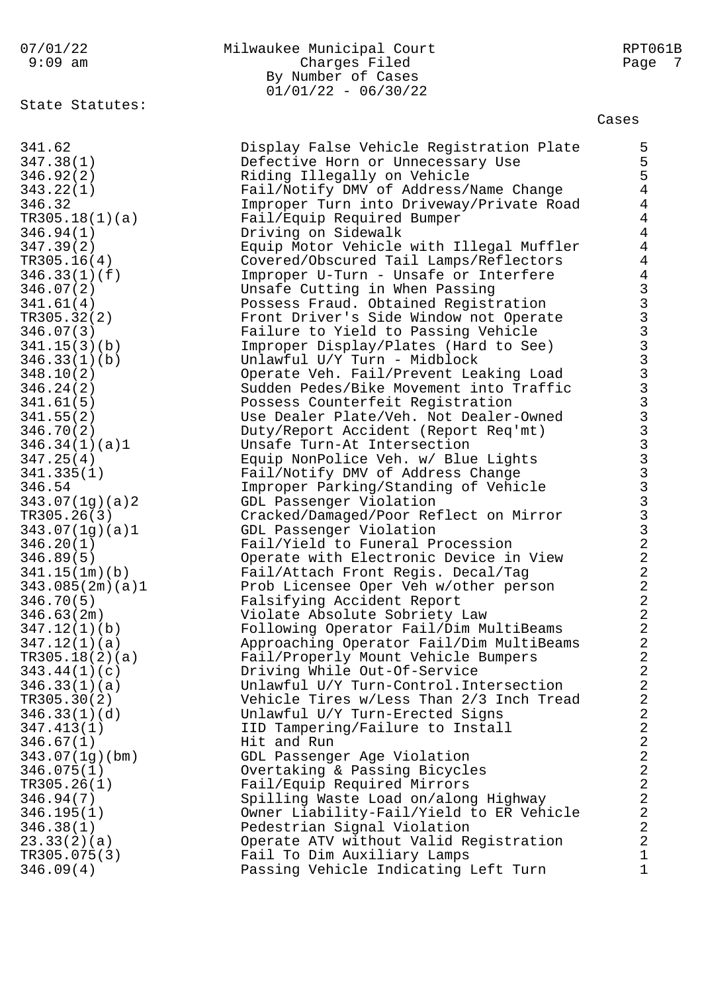## By Number of Cases  $01/01/22 - 06/30/22$

State Statutes:

346.09(4) Passing Vehicle Indicating Left Turn 1

07/01/22 Milwaukee Municipal Court RPT061B 9:09 am Charges Filed Page 7 Cases 341.62 Display False Vehicle Registration Plate 5 347.38(1) Defective Horn or Unnecessary Use 5 346.92(2) Riding Illegally on Vehicle 5 343.22(1) Fail/Notify DMV of Address/Name Change 4 346.32 Improper Turn into Driveway/Private Road 4 TR305.18(1)(a) Fail/Equip Required Bumper 4 346.94(1) Driving on Sidewalk 4 347.39(2) Equip Motor Vehicle with Illegal Muffler 4 TR305.16(4) Covered/Obscured Tail Lamps/Reflectors 4 346.33(1)(f) Improper U-Turn - Unsafe or Interfere 4 346.07(2) Unsafe Cutting in When Passing 3 341.61(4) Possess Fraud. Obtained Registration 3 TR305.32(2) Front Driver's Side Window not Operate 3 346.07(3) Failure to Yield to Passing Vehicle 3 341.15(3)(b) Improper Display/Plates (Hard to See) 3 346.33(1)(b) Unlawful U/Y Turn - Midblock 3 348.10(2) Operate Veh. Fail/Prevent Leaking Load 3 346.24(2) Sudden Pedes/Bike Movement into Traffic 3 341.61(5) Possess Counterfeit Registration 3 341.55(2) Use Dealer Plate/Veh. Not Dealer-Owned 3 346.70(2) Duty/Report Accident (Report Req'mt) 3 346.34(1)(a)1 Unsafe Turn-At Intersection 3 347.25(4) Equip NonPolice Veh. w/ Blue Lights 3 341.335(1) Fail/Notify DMV of Address Change 3 346.54 Improper Parking/Standing of Vehicle 3

343.07(1g)(a)2 GDL Passenger Violation 3 TR305.26(3) Cracked/Damaged/Poor Reflect on Mirror 3 343.07(1g)(a)1 GDL Passenger Violation 3 346.20(1) Fail/Yield to Funeral Procession 2 346.89(5) Operate with Electronic Device in View 2 341.15(1m)(b) Fail/Attach Front Regis. Decal/Tag 2 343.085(2m)(a)1 Prob Licensee Oper Veh w/other person 2 346.70(5) Falsifying Accident Report 2 346.63(2m) Violate Absolute Sobriety Law 2 347.12(1)(b) Following Operator Fail/Dim MultiBeams 2 347.12(1)(a) Approaching Operator Fail/Dim MultiBeams 2 TR305.18(2)(a) Fail/Properly Mount Vehicle Bumpers 2 343.44(1)(c) Driving While Out-Of-Service 2 346.33(1)(a) Unlawful U/Y Turn-Control.Intersection 2 TR305.30(2) Vehicle Tires w/Less Than 2/3 Inch Tread 2 346.33(1)(d) Unlawful U/Y Turn-Erected Signs 2 347.413(1) IID Tampering/Failure to Install 2 346.67(1) Hit and Run 2 343.07(1g)(bm) GDL Passenger Age Violation 2 346.075(1) Overtaking & Passing Bicycles 2 TR305.26(1) Fail/Equip Required Mirrors 2 346.94(7) Spilling Waste Load on/along Highway 2 346.195(1) Owner Liability-Fail/Yield to ER Vehicle 2 346.38(1) Pedestrian Signal Violation 2 23.33(2)(a) Operate ATV without Valid Registration 2 TR305.075(3) Fail To Dim Auxiliary Lamps 1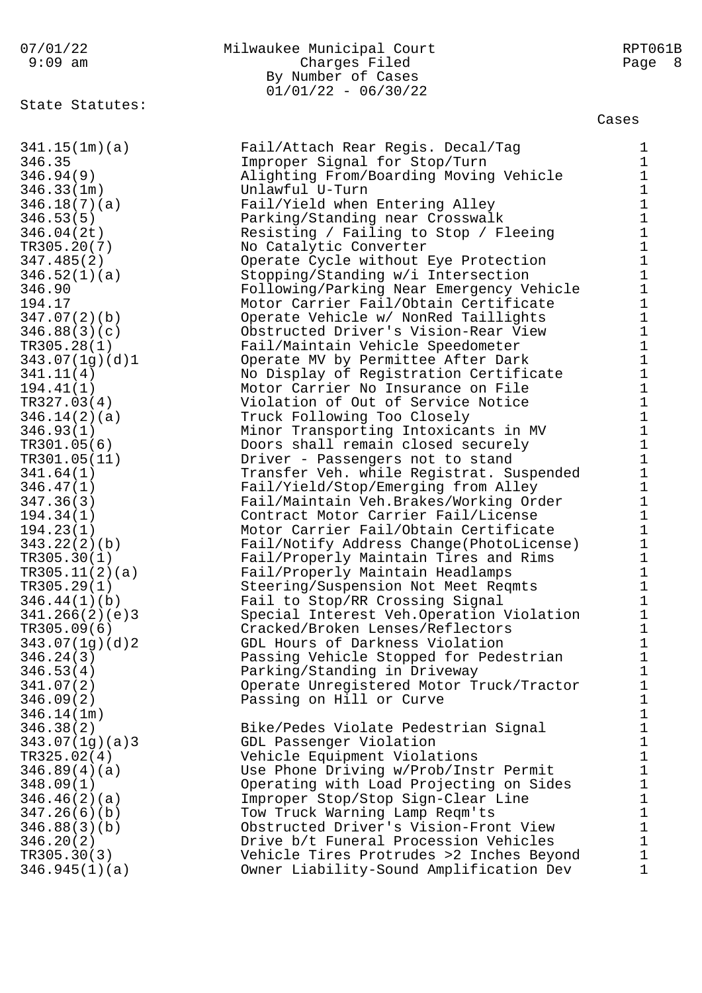## 07/01/22 Milwaukee Municipal Court RPT061B 9:09 am Charges Filed Page 8 By Number of Cases  $01/01/22 - 06/30/22$

State Statutes:

Cases

341.15(1m)(a) Fail/Attach Rear Regis. Decal/Tag 1 346.35 Improper Signal for Stop/Turn 1 346.94(9) Alighting From/Boarding Moving Vehicle 1 346.33(1m) Unlawful U-Turn 1 346.18(7)(a) Fail/Yield when Entering Alley 1 346.53(5) Parking/Standing near Crosswalk 1 346.04(2t) Resisting / Failing to Stop / Fleeing 1 TR305.20(7) No Catalytic Converter 1 347.485(2) Operate Cycle without Eye Protection 1 346.52(1)(a) Stopping/Standing w/i Intersection 1 346.90 Following/Parking Near Emergency Vehicle 1 194.17 Motor Carrier Fail/Obtain Certificate 1 347.07(2)(b) Operate Vehicle w/ NonRed Taillights 1 346.88(3)(c) Obstructed Driver's Vision-Rear View 1 TR305.28(1) Fail/Maintain Vehicle Speedometer 1 343.07(1g)(d)1 Operate MV by Permittee After Dark 1 341.11(4) No Display of Registration Certificate 1 194.41(1) Motor Carrier No Insurance on File 1 TR327.03(4) Violation of Out of Service Notice 1 346.14(2)(a) Truck Following Too Closely 1 346.93(1) Minor Transporting Intoxicants in MV 1 TR301.05(6) Doors shall remain closed securely 1 TR301.05(11) Driver - Passengers not to stand 1 341.64(1) Transfer Veh. while Registrat. Suspended 1 346.47(1) Fail/Yield/Stop/Emerging from Alley 1 347.36(3) Fail/Maintain Veh.Brakes/Working Order 1 194.34(1) Contract Motor Carrier Fail/License 1 194.23(1) Motor Carrier Fail/Obtain Certificate 1 343.22(2)(b) Fail/Notify Address Change(PhotoLicense) 1 TR305.30(1) Fail/Properly Maintain Tires and Rims 1 TR305.11(2)(a) Fail/Properly Maintain Headlamps 1 TR305.29(1) Steering/Suspension Not Meet Reqmts 1 346.44(1)(b) Fail to Stop/RR Crossing Signal 1 341.266(2)(e)3 Special Interest Veh.Operation Violation 1 TR305.09(6) Cracked/Broken Lenses/Reflectors 1 343.07(1g)(d)2 GDL Hours of Darkness Violation 1 346.24(3) Passing Vehicle Stopped for Pedestrian 1 346.53(4) Parking/Standing in Driveway 1 341.07(2) Operate Unregistered Motor Truck/Tractor 1 346.09(2) Passing on Hill or Curve 1 346.14(1m) 1 346.38(2) Bike/Pedes Violate Pedestrian Signal 1 343.07(1g)(a)3 GDL Passenger Violation 1 TR325.02(4) Vehicle Equipment Violations 1 346.89(4)(a) Use Phone Driving w/Prob/Instr Permit 1

348.09(1) Operating with Load Projecting on Sides 1 346.46(2)(a) Improper Stop/Stop Sign-Clear Line 1 347.26(6)(b) Tow Truck Warning Lamp Reqm'ts 1 346.88(3)(b) Obstructed Driver's Vision-Front View 1 346.20(2) Drive b/t Funeral Procession Vehicles 1 TR305.30(3) Vehicle Tires Protrudes >2 Inches Beyond 1 346.945(1)(a) Owner Liability-Sound Amplification Dev 1